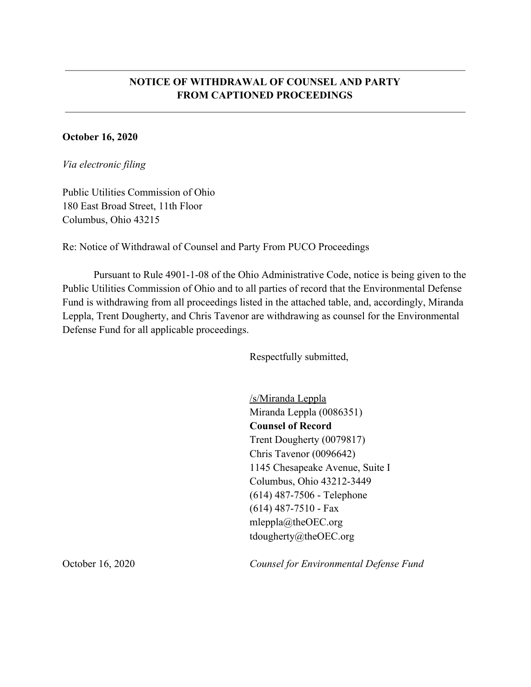## **NOTICE OF WITHDRAWAL OF COUNSEL AND PARTY FROM CAPTIONED PROCEEDINGS**

## **October 16, 2020**

*Via electronic filing*

Public Utilities Commission of Ohio 180 East Broad Street, 11th Floor Columbus, Ohio 43215

Re: Notice of Withdrawal of Counsel and Party From PUCO Proceedings

Pursuant to Rule 4901-1-08 of the Ohio Administrative Code, notice is being given to the Public Utilities Commission of Ohio and to all parties of record that the Environmental Defense Fund is withdrawing from all proceedings listed in the attached table, and, accordingly, Miranda Leppla, Trent Dougherty, and Chris Tavenor are withdrawing as counsel for the Environmental Defense Fund for all applicable proceedings.

Respectfully submitted,

/s/Miranda Leppla Miranda Leppla (0086351) **Counsel of Record** Trent Dougherty (0079817) Chris Tavenor (0096642) 1145 Chesapeake Avenue, Suite I Columbus, Ohio 43212-3449 (614) 487-7506 - Telephone (614) 487-7510 - Fax mleppla@theOEC.org tdougherty@theOEC.org

October 16, 2020 *Counsel for Environmental Defense Fund*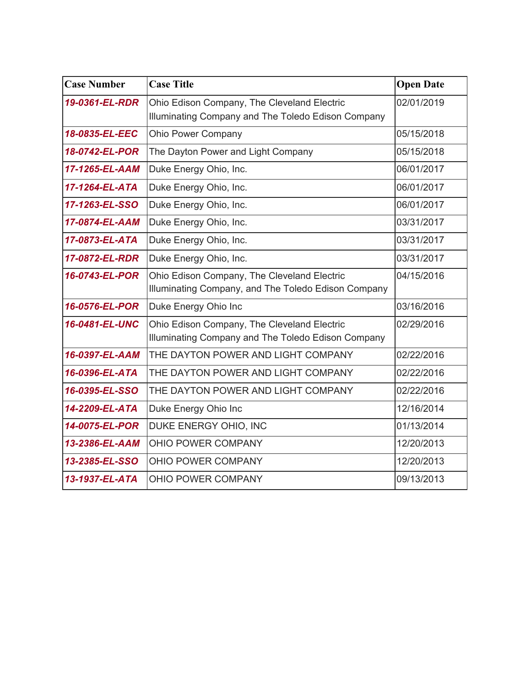| <b>Case Number</b> | <b>Case Title</b>                                                                                  | <b>Open Date</b> |
|--------------------|----------------------------------------------------------------------------------------------------|------------------|
| 19-0361-EL-RDR     | Ohio Edison Company, The Cleveland Electric<br>Illuminating Company and The Toledo Edison Company  | 02/01/2019       |
| 18-0835-EL-EEC     | <b>Ohio Power Company</b>                                                                          | 05/15/2018       |
| 18-0742-EL-POR     | The Dayton Power and Light Company                                                                 | 05/15/2018       |
| 17-1265-EL-AAM     | Duke Energy Ohio, Inc.                                                                             | 06/01/2017       |
| 17-1264-EL-ATA     | Duke Energy Ohio, Inc.                                                                             | 06/01/2017       |
| 17-1263-EL-SSO     | Duke Energy Ohio, Inc.                                                                             | 06/01/2017       |
| 17-0874-EL-AAM     | Duke Energy Ohio, Inc.                                                                             | 03/31/2017       |
| 17-0873-EL-ATA     | Duke Energy Ohio, Inc.                                                                             | 03/31/2017       |
| 17-0872-EL-RDR     | Duke Energy Ohio, Inc.                                                                             | 03/31/2017       |
| 16-0743-EL-POR     | Ohio Edison Company, The Cleveland Electric<br>Illuminating Company, and The Toledo Edison Company | 04/15/2016       |
| 16-0576-EL-POR     | Duke Energy Ohio Inc                                                                               | 03/16/2016       |
| 16-0481-EL-UNC     | Ohio Edison Company, The Cleveland Electric<br>Illuminating Company and The Toledo Edison Company  | 02/29/2016       |
| 16-0397-EL-AAM     | THE DAYTON POWER AND LIGHT COMPANY                                                                 | 02/22/2016       |
| 16-0396-EL-ATA     | THE DAYTON POWER AND LIGHT COMPANY                                                                 | 02/22/2016       |
| 16-0395-EL-SSO     | THE DAYTON POWER AND LIGHT COMPANY                                                                 | 02/22/2016       |
| 14-2209-EL-ATA     | Duke Energy Ohio Inc                                                                               | 12/16/2014       |
| 14-0075-EL-POR     | DUKE ENERGY OHIO, INC                                                                              | 01/13/2014       |
| 13-2386-EL-AAM     | OHIO POWER COMPANY                                                                                 | 12/20/2013       |
| 13-2385-EL-SSO     | OHIO POWER COMPANY                                                                                 | 12/20/2013       |
| 13-1937-EL-ATA     | OHIO POWER COMPANY                                                                                 | 09/13/2013       |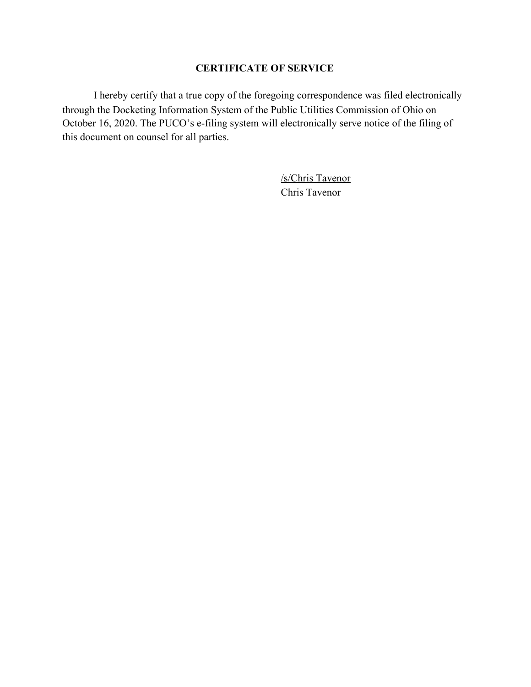## **CERTIFICATE OF SERVICE**

I hereby certify that a true copy of the foregoing correspondence was filed electronically through the Docketing Information System of the Public Utilities Commission of Ohio on October 16, 2020. The PUCO's e-filing system will electronically serve notice of the filing of this document on counsel for all parties.

> /s/Chris Tavenor Chris Tavenor